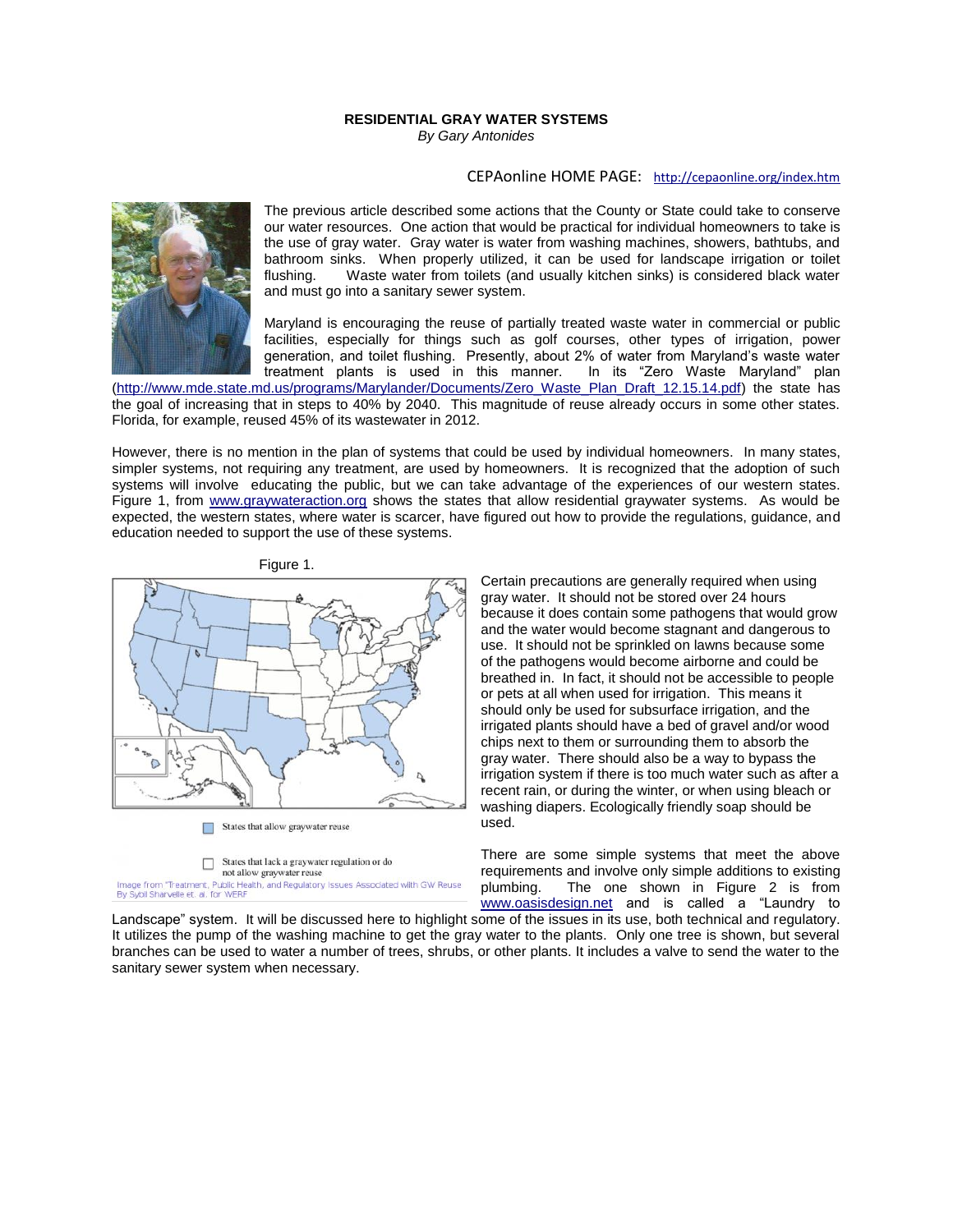## **RESIDENTIAL GRAY WATER SYSTEMS** *By Gary Antonides*

## CEPAonline HOME PAGE: <http://cepaonline.org/index.htm>



The previous article described some actions that the County or State could take to conserve our water resources. One action that would be practical for individual homeowners to take is the use of gray water. Gray water is water from washing machines, showers, bathtubs, and bathroom sinks. When properly utilized, it can be used for landscape irrigation or toilet flushing. Waste water from toilets (and usually kitchen sinks) is considered black water Waste water from toilets (and usually kitchen sinks) is considered black water and must go into a sanitary sewer system.

Maryland is encouraging the reuse of partially treated waste water in commercial or public facilities, especially for things such as golf courses, other types of irrigation, power generation, and toilet flushing. Presently, about 2% of water from Maryland's waste water<br>treatment plants is used in this manner. In its "Zero Waste Maryland" plan treatment plants is used in this manner.

[\(http://www.mde.state.md.us/programs/Marylander/Documents/Zero\\_Waste\\_Plan\\_Draft\\_12.15.14.pdf\)](http://www.mde.state.md.us/programs/Marylander/Documents/Zero_Waste_Plan_Draft_12.15.14.pdf) the state has the goal of increasing that in steps to 40% by 2040. This magnitude of reuse already occurs in some other states. Florida, for example, reused 45% of its wastewater in 2012.

However, there is no mention in the plan of systems that could be used by individual homeowners. In many states, simpler systems, not requiring any treatment, are used by homeowners. It is recognized that the adoption of such systems will involve educating the public, but we can take advantage of the experiences of our western states. Figure 1, from [www.graywateraction.org](http://www.graywateraction.org/) shows the states that allow residential graywater systems. As would be expected, the western states, where water is scarcer, have figured out how to provide the regulations, guidance, and education needed to support the use of these systems.



not allow graywater reuse Image from "Treatment, Public Health, and Regulatory Issues Associated with GW Reuse<br>By Sybil Sharvelle et. al. for WERF Certain precautions are generally required when using gray water. It should not be stored over 24 hours because it does contain some pathogens that would grow and the water would become stagnant and dangerous to use. It should not be sprinkled on lawns because some of the pathogens would become airborne and could be breathed in. In fact, it should not be accessible to people or pets at all when used for irrigation. This means it should only be used for subsurface irrigation, and the irrigated plants should have a bed of gravel and/or wood chips next to them or surrounding them to absorb the gray water. There should also be a way to bypass the irrigation system if there is too much water such as after a recent rain, or during the winter, or when using bleach or washing diapers. Ecologically friendly soap should be used.

There are some simple systems that meet the above requirements and involve only simple additions to existing plumbing. The one shown in Figure 2 is from [www.oasisdesign.net](http://www.oasisdesign.net/) and is called a "Laundry to

Landscape" system. It will be discussed here to highlight some of the issues in its use, both technical and regulatory. It utilizes the pump of the washing machine to get the gray water to the plants. Only one tree is shown, but several branches can be used to water a number of trees, shrubs, or other plants. It includes a valve to send the water to the sanitary sewer system when necessary.